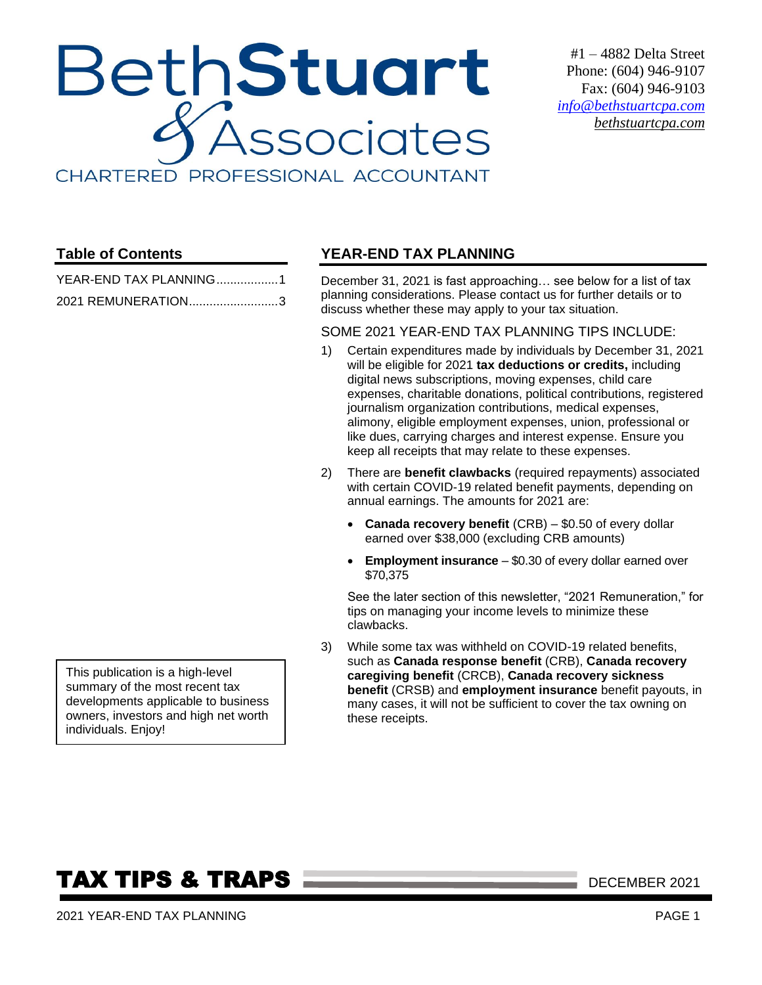# BethStuart Associates CHARTERED PROFESSIONAL ACCOUNTANT

#1 – 4882 Delta Street Phone: (604) 946-9107 Fax: (604) 946-9103 *[info@bethstuartcpa.com](mailto:info@bethstuartcpa.com) bethstuartcpa.com*

### **Table of Contents**

| YEAR-END TAX PLANNING1 |  |
|------------------------|--|
| 2021 REMUNERATION3     |  |

### <span id="page-0-0"></span>**YEAR-END TAX PLANNING**

December 31, 2021 is fast approaching… see below for a list of tax planning considerations. Please contact us for further details or to discuss whether these may apply to your tax situation.

#### SOME 2021 YEAR-END TAX PLANNING TIPS INCLUDE:

- 1) Certain expenditures made by individuals by December 31, 2021 will be eligible for 2021 **tax deductions or credits,** including digital news subscriptions, moving expenses, child care expenses, charitable donations, political contributions, registered journalism organization contributions, medical expenses, alimony, eligible employment expenses, union, professional or like dues, carrying charges and interest expense. Ensure you keep all receipts that may relate to these expenses.
- 2) There are **benefit clawbacks** (required repayments) associated with certain COVID-19 related benefit payments, depending on annual earnings. The amounts for 2021 are:
	- **Canada recovery benefit** (CRB) \$0.50 of every dollar earned over \$38,000 (excluding CRB amounts)
	- **Employment insurance** \$0.30 of every dollar earned over \$70,375

See the later section of this newsletter, "2021 Remuneration," for tips on managing your income levels to minimize these clawbacks.

3) While some tax was withheld on COVID-19 related benefits, such as **Canada response benefit** (CRB), **Canada recovery caregiving benefit** (CRCB), **Canada recovery sickness benefit** (CRSB) and **employment insurance** benefit payouts, in many cases, it will not be sufficient to cover the tax owning on these receipts.

This publication is a high-level summary of the most recent tax developments applicable to business owners, investors and high net worth individuals. Enjoy!

# **TAX TIPS & TRAPS DECEMBER 2021**

2021 YEAR-END TAX PLANNING PAGE 1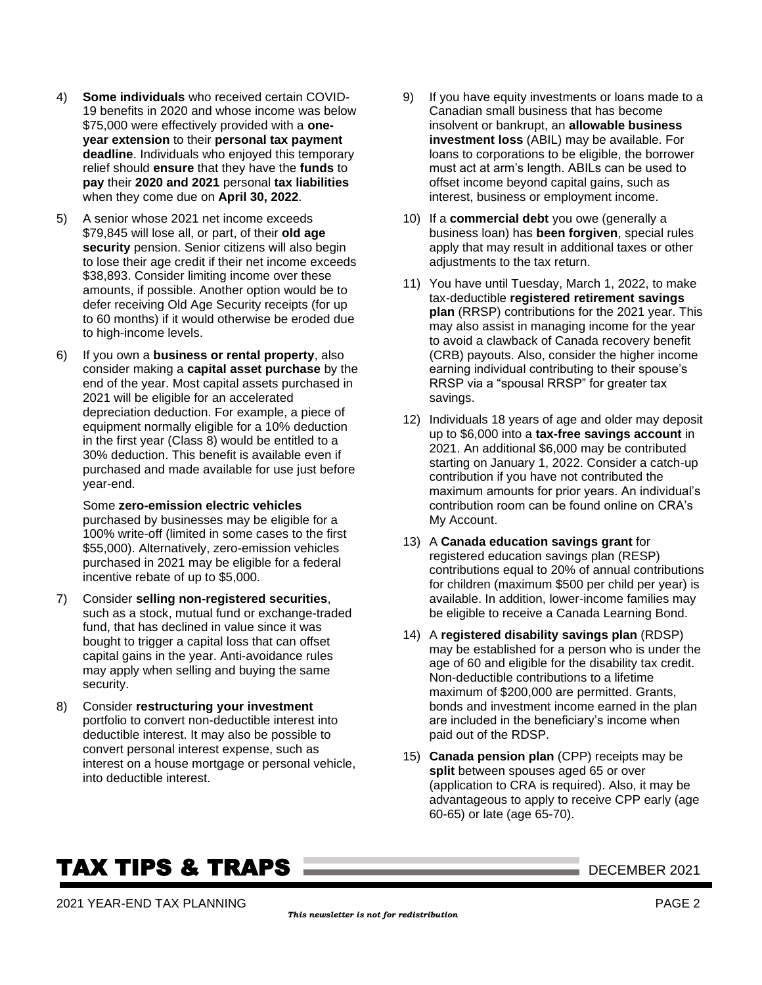- 4) **Some individuals** who received certain COVID-19 benefits in 2020 and whose income was below \$75,000 were effectively provided with a **oneyear extension** to their **personal tax payment deadline**. Individuals who enjoyed this temporary relief should **ensure** that they have the **funds** to **pay** their **2020 and 2021** personal **tax liabilities** when they come due on **April 30, 2022**.
- 5) A senior whose 2021 net income exceeds \$79,845 will lose all, or part, of their **old age security** pension. Senior citizens will also begin to lose their age credit if their net income exceeds \$38,893. Consider limiting income over these amounts, if possible. Another option would be to defer receiving Old Age Security receipts (for up to 60 months) if it would otherwise be eroded due to high-income levels.
- 6) If you own a **business or rental property**, also consider making a **capital asset purchase** by the end of the year. Most capital assets purchased in 2021 will be eligible for an accelerated depreciation deduction. For example, a piece of equipment normally eligible for a 10% deduction in the first year (Class 8) would be entitled to a 30% deduction. This benefit is available even if purchased and made available for use just before year-end.

Some **zero-emission electric vehicles** purchased by businesses may be eligible for a 100% write-off (limited in some cases to the first \$55,000). Alternatively, zero-emission vehicles purchased in 2021 may be eligible for a federal incentive rebate of up to \$5,000.

- 7) Consider **selling non-registered securities**, such as a stock, mutual fund or exchange-traded fund, that has declined in value since it was bought to trigger a capital loss that can offset capital gains in the year. Anti-avoidance rules may apply when selling and buying the same security.
- 8) Consider **restructuring your investment** portfolio to convert non-deductible interest into deductible interest. It may also be possible to convert personal interest expense, such as interest on a house mortgage or personal vehicle, into deductible interest.
- 9) If you have equity investments or loans made to a Canadian small business that has become insolvent or bankrupt, an **allowable business investment loss** (ABIL) may be available. For loans to corporations to be eligible, the borrower must act at arm's length. ABILs can be used to offset income beyond capital gains, such as interest, business or employment income.
- 10) If a **commercial debt** you owe (generally a business loan) has **been forgiven**, special rules apply that may result in additional taxes or other adjustments to the tax return.
- 11) You have until Tuesday, March 1, 2022, to make tax-deductible **registered retirement savings plan** (RRSP) contributions for the 2021 year. This may also assist in managing income for the year to avoid a clawback of Canada recovery benefit (CRB) payouts. Also, consider the higher income earning individual contributing to their spouse's RRSP via a "spousal RRSP" for greater tax savings.
- 12) Individuals 18 years of age and older may deposit up to \$6,000 into a **tax-free savings account** in 2021. An additional \$6,000 may be contributed starting on January 1, 2022. Consider a catch-up contribution if you have not contributed the maximum amounts for prior years. An individual's contribution room can be found online on CRA's My Account.
- 13) A **Canada education savings grant** for registered education savings plan (RESP) contributions equal to 20% of annual contributions for children (maximum \$500 per child per year) is available. In addition, lower-income families may be eligible to receive a Canada Learning Bond.
- 14) A **registered disability savings plan** (RDSP) may be established for a person who is under the age of 60 and eligible for the disability tax credit. Non-deductible contributions to a lifetime maximum of \$200,000 are permitted. Grants, bonds and investment income earned in the plan are included in the beneficiary's income when paid out of the RDSP.
- 15) **Canada pension plan** (CPP) receipts may be **split** between spouses aged 65 or over (application to CRA is required). Also, it may be advantageous to apply to receive CPP early (age 60-65) or late (age 65-70).

## **TAX TIPS & TRAPS DECEMBER 2021**

2021 YEAR-END TAX PLANNING PAGE 2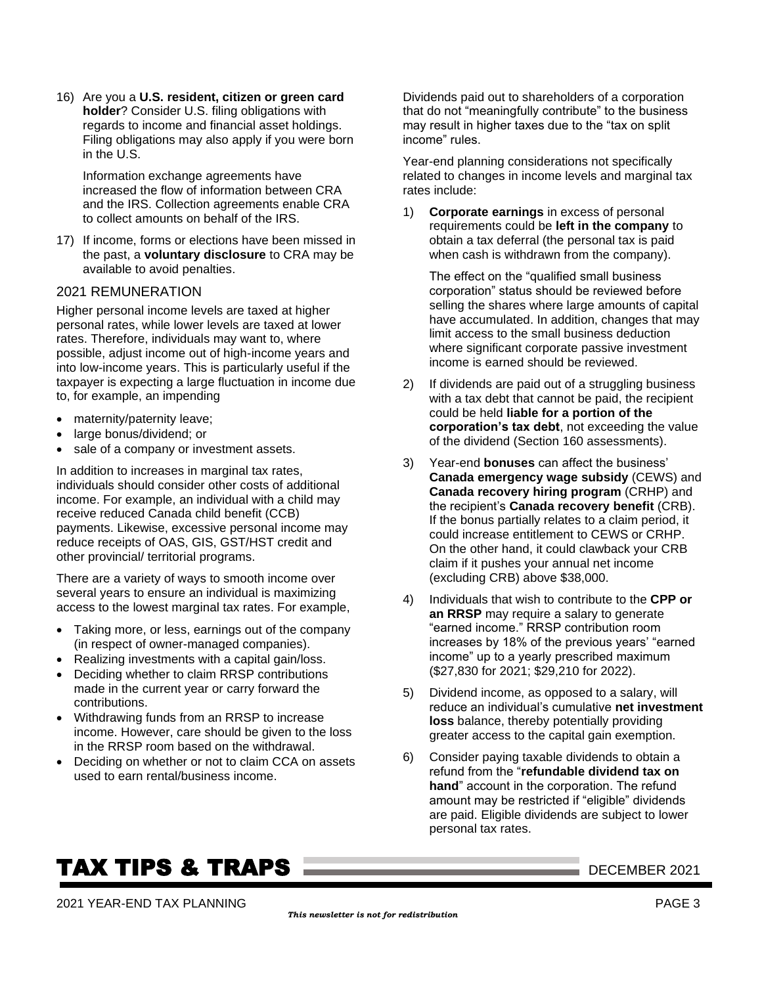16) Are you a **U.S. resident, citizen or green card holder**? Consider U.S. filing obligations with regards to income and financial asset holdings. Filing obligations may also apply if you were born in the U.S.

Information exchange agreements have increased the flow of information between CRA and the IRS. Collection agreements enable CRA to collect amounts on behalf of the IRS.

17) If income, forms or elections have been missed in the past, a **voluntary disclosure** to CRA may be available to avoid penalties.

#### <span id="page-2-0"></span>2021 REMUNERATION

Higher personal income levels are taxed at higher personal rates, while lower levels are taxed at lower rates. Therefore, individuals may want to, where possible, adjust income out of high-income years and into low-income years. This is particularly useful if the taxpayer is expecting a large fluctuation in income due to, for example, an impending

- maternity/paternity leave;
- large bonus/dividend; or
- sale of a company or investment assets.

In addition to increases in marginal tax rates, individuals should consider other costs of additional income. For example, an individual with a child may receive reduced Canada child benefit (CCB) payments. Likewise, excessive personal income may reduce receipts of OAS, GIS, GST/HST credit and other provincial/ territorial programs.

There are a variety of ways to smooth income over several years to ensure an individual is maximizing access to the lowest marginal tax rates. For example,

- Taking more, or less, earnings out of the company (in respect of owner-managed companies).
- Realizing investments with a capital gain/loss.
- Deciding whether to claim RRSP contributions made in the current year or carry forward the contributions.
- Withdrawing funds from an RRSP to increase income. However, care should be given to the loss in the RRSP room based on the withdrawal.
- Deciding on whether or not to claim CCA on assets used to earn rental/business income.

Dividends paid out to shareholders of a corporation that do not "meaningfully contribute" to the business may result in higher taxes due to the "tax on split income" rules.

Year-end planning considerations not specifically related to changes in income levels and marginal tax rates include:

1) **Corporate earnings** in excess of personal requirements could be **left in the company** to obtain a tax deferral (the personal tax is paid when cash is withdrawn from the company).

The effect on the "qualified small business corporation" status should be reviewed before selling the shares where large amounts of capital have accumulated. In addition, changes that may limit access to the small business deduction where significant corporate passive investment income is earned should be reviewed.

- 2) If dividends are paid out of a struggling business with a tax debt that cannot be paid, the recipient could be held **liable for a portion of the corporation's tax debt**, not exceeding the value of the dividend (Section 160 assessments).
- 3) Year-end **bonuses** can affect the business' **Canada emergency wage subsidy** (CEWS) and **Canada recovery hiring program** (CRHP) and the recipient's **Canada recovery benefit** (CRB). If the bonus partially relates to a claim period, it could increase entitlement to CEWS or CRHP. On the other hand, it could clawback your CRB claim if it pushes your annual net income (excluding CRB) above \$38,000.
- 4) Individuals that wish to contribute to the **CPP or an RRSP** may require a salary to generate "earned income." RRSP contribution room increases by 18% of the previous years' "earned income" up to a yearly prescribed maximum (\$27,830 for 2021; \$29,210 for 2022).
- 5) Dividend income, as opposed to a salary, will reduce an individual's cumulative **net investment loss** balance, thereby potentially providing greater access to the capital gain exemption.
- 6) Consider paying taxable dividends to obtain a refund from the "**refundable dividend tax on hand**" account in the corporation. The refund amount may be restricted if "eligible" dividends are paid. Eligible dividends are subject to lower personal tax rates.

### **TAX TIPS & TRAPS DECEMBER 2021**

2021 YEAR-END TAX PLANNING PAGE 3